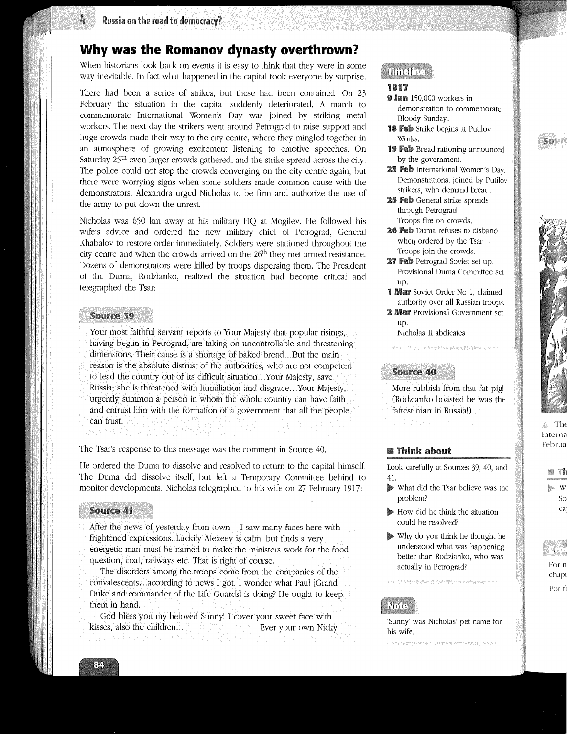# Russia on the road to democracy?

# **Why was the Romanov dynasty overthrown?**

When historians look back on events it is easy to think that they were in some way inevitable. In fact what happened in the capital took everyone by surprise.

There had been a series of strikes, but these had been contained. On 23 February the situation in the capital suddenly deteriorated. A march to commemorate International Women's Day was joined by striking metal workers. The next day the strikers went around Petrograd to raise support and huge crowds made their way to the city centre, where they mingled together in an atmosphere of growing excitement listening to emotive speeches. On Saturday  $25<sup>th</sup>$  even larger crowds gathered, and the strike spread across the city. The police could not stop the crowds converging on the city centre again, but there were worrying signs when some soldiers made common cause with the demonstrators. Alexandra urged Nicholas to be firm and authorize the use of the army to put down the unrest.

Nicholas was 650 km away at his military HQ at Mogilev. He followed his wife's advice and ordered the new military chief of Petrograd, General Khabalov to restore order immediately. Soldiers were stationed throughout the city centre and when the crowds arrived on the  $26<sup>th</sup>$  they met armed resistance. Dozens of demonstrators were killed by troops dispersing them. The President of the Duma, Rodzianko, realized the situation had become critical and telegraphed the Tsar:

# **Source 39**

Your most faithful servant reports to Your Majesty that popular risings, having begun in Petrograd, are taking on uncontrollable and threatening dimensions. Their cause is a shortage of baked bread...But the main reason is the absolute distrust of the authorities, who are not competent to lead the country out of its difficult situation..Your Maiesty, save Russia; she is threatened with humiliation and disgrace...Your Majesty, urgently summon a person in whom the whole country can have faith and entrust him with the formation of a government that all the people can trust.

The Tsar's response to this message was the comment in Source 40.

He ordered the Duma to dissolve and resolved to return to the capital himself. The Duma did dissolve itself, but left a Temporary Committee behind to monitor developments. Nicholas telegraphed to his wife on 27 February 1917:

# Source 41

After the news of yesterday from town  $- I$  saw many faces here with frightened expressions. Luckily Alexeev is calm. but finds a very energetic man must be named tO make the ministers work for the food question, coal, railways etc. That is right of course.

The disorders among the troops come from the companies of the convalescents.i iaccording to news I got: I wonder what Paul [Grand Duke and commander of the Life Guards] is doing? He ought to keep them in hand.

God bless you my beloved Sunny! I cover your sweet face with kisses, als0 the childrenil. .... Ever your own Niclgr

# Timeline

# 1917

- 9 Jan 150,000 workers in demonstration to commemorate Bloody Sunday.
- **18 Feb** Strike begins at Putilov Works.
- **19 Feb** Bread rationing announced by the government.
- 23 Feb International Women's Day. Demonstrations, joined by Putilov strikers, who demand bread.
- 25 Feb General strike spreads through Petrograd. Troops fire on crowds.
- 26 Feb Duma refuses to disband when ordered by the Tsar. Troops join the crowds.
- 27 Feb Petrograd Soviet set up. Provisional Duma Committee set up.
- <sup>1</sup> Mar Soviet Order No 1, claimed authority over all Russian troops.
- 2 Mar Provisional Government set up.

Nicholas II abdicates.

# **Source 40**

More rubbish from that fat pig! (RodZianko boasted he was the fattest man in Russia!)

#### **Think** about

Look carefully at Sources 39, 40, and 41.

- ~- What did the Tsar believe was the problem?
- ~ How did he think the situation could be resolved?
- why do you think he thought he understood what was happening better than Rodzianko, who was actually in Petrograd?

Roc

'Sunny' was Nicholas' pet name for his wife.



Sour

The Interna Februa

> e Th W So ca



For n chapt For tl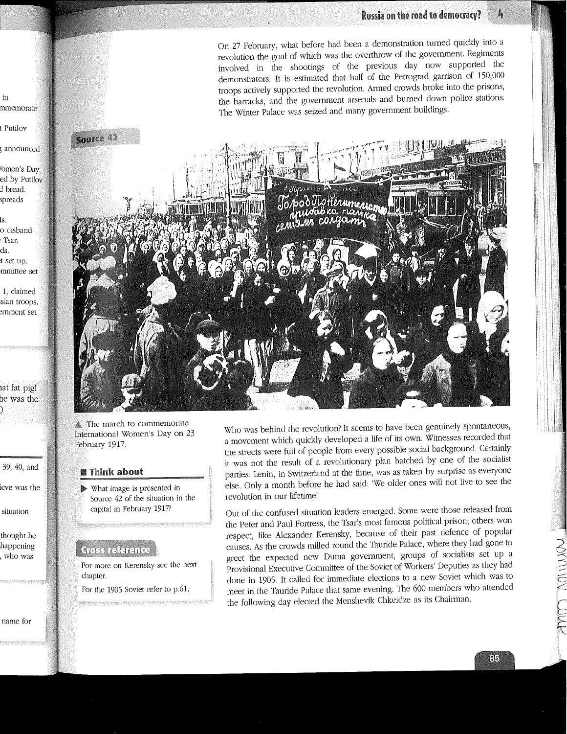On 27 February, what before had been a demonstration turned quickly into a revolution the goal of which was the overthrow of the government. Regiments involved in the shootings of the previous day now supported the demonstrators. It is estimated that half of the Petrograd garrison of 150,000 troops actively supported the revolution. Armed crowds broke into the prisons, the barracks, and the government arsenals and burned down police stations. The Winter Palace was seized and many government buildings.



**A** The march to commemorate International Women's Day on 23 February 1917.

#### **M** Think about

What image is presented in Source 42 of the situation in the capital in February 19177

### **Cross reference**

For more on Kerensky see the next chapter.

For the 1905 Soviet refer to p.61.

\Vho was behind the revolution? It seems to have been genuinely spontaneous, a movement which quickly developed a life of its own. Witnesses recorded that the streets were full of people from every possible social background. Certainly it was not the result of a revolutionary plan hatched by one of the socialist parties. Lenin, in Switzerland at the time, was as taken by surprise as everyone else. Only a month before he had said: 'We older ones will not live to see the revolution in our lifetime'.

Out of the confused situation leaders emerged. Some were those released from the Peter and Paul Fortress, the Tsar's most famous political prison; others won respect, like Alexander Kerensky, because of their past defence of popular causes. As the crowds milled round the Tauride Palace, where they had gone to greet the expected new Duma government, groups of socialists set up a Provisional Executive Committee of the Soviet of Workers' Deputies as they had done in 1905. It called for immediate elections to a new Soviet which was to meet in the Tauride Palace that same evening. The 600 members who attended the following day elected the Menshevik Chkeidze as its Chairman.

in mmemorate

Putilov

announced

Omen's Day. ed by Putilov d bread. spreads

Is. o disband ~ Tsar. ds. ~t set up. mmittee set

1, claimed sian troops. ernment set

at fat pig! he was the

39, 40, and ieve was the

situation

thonght he happening , who was

name for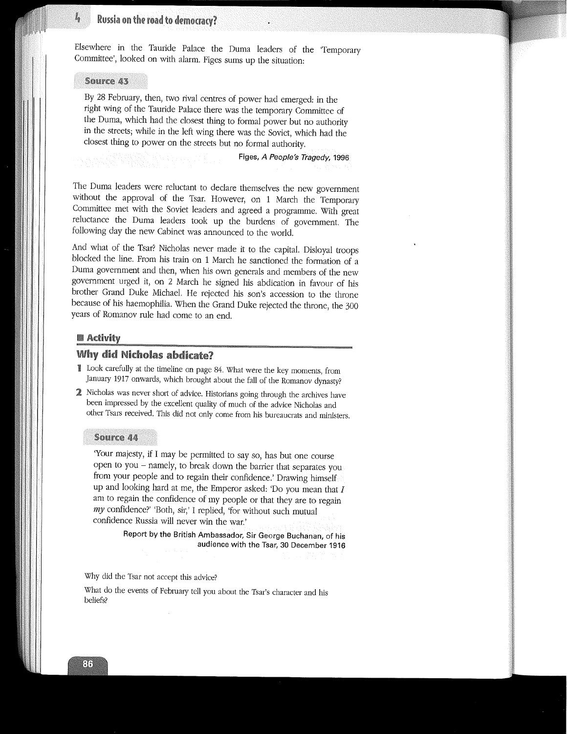# Russia on the road to democracy?

Elsewhere in the Tauride Palace the Duma leaders of the 'Temporary Committee', looked on with alarm. Figes sums up the situation:

#### Source 43

I,

By 28 February, then, two rival centres of power had emerged: in the right wing of the Tauride Palace there was the temporary Committee of the Duma, which had the closest thing to formal power but no authority in the streets; while in the left wing there was the Soviet, which had the closest thing to power on the streets but no formal authority.

Figes, A People's Tragedy, 1996

The Duma leaders were reluctant to declare themselves the new government without the approval of the Tsar. However, on 1 March the Temporary Committee met with the Soviet leaders and agreed a programme. With great reluctance the Duma leaders took up the burdens of government. The following day the new Cabinet was announced to the world.

And what of the Tsar? Nicholas never made it to the capital. Disloyal troops blocked the line. From his train on 1 March he sanctioned the formation of a Duma government and then, when his own generals and members of the new government urged it, on 2 March he signed his abdication in favour of his brother Grand Duke Michael. He rejected his son's accession to the throne because of his haemophilia. When the Grand Duke rejected the throne, the 300 years of Romanov rule had come to an end.

# **B** Activity

# Why did Nicholas abdicate?

- Look carefully at the timeline on page 84. What were the key moments, from January 1917 onwards, which brought about the fall of the Romanov dynasty?
- Nicholas was never short of advice. Historians going through the archives have been impressed by the excellent quality of much of the advice Nicholas and other Tsars received. This did not only come from his bureaucrats and ministers.

#### Source 44

'Your majesty, if I may be permitted to say so, has but one course open to you - namely, to break down the barrier that separates you from your people and to regain their confidence.' Drawing himself up and looking hard at me, the Emperor asked: 'Do you mean that  $I$ am to regain the confidence of my people or that they are to regain my confidence?' 'Both, sir,' I replied, 'for without such mutual confidence Russia will never win the war.'

> Report by the British Ambassador, Sir George Buchanan, of his audience with the Tsar, 30 December 1916

Why did the Tsar not accept this advice?

What do the events of February tell you about the Tsar's character and his beliefs?